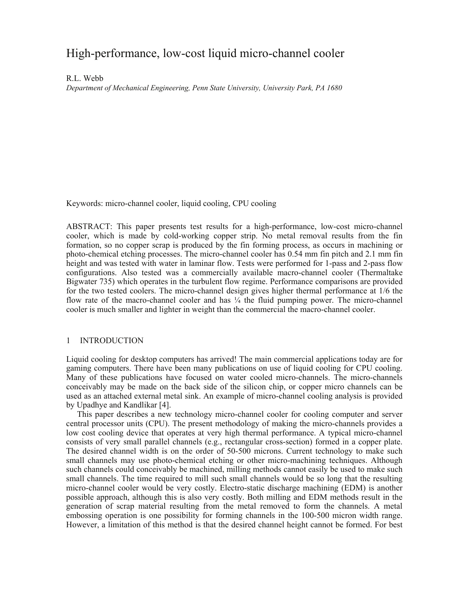# High-performance, low-cost liquid micro-channel cooler

R.L. Webb *Department of Mechanical Engineering, Penn State University, University Park, PA 1680* 

Keywords: micro-channel cooler, liquid cooling, CPU cooling

ABSTRACT: This paper presents test results for a high-performance, low-cost micro-channel cooler, which is made by cold-working copper strip. No metal removal results from the fin formation, so no copper scrap is produced by the fin forming process, as occurs in machining or photo-chemical etching processes. The micro-channel cooler has 0.54 mm fin pitch and 2.1 mm fin height and was tested with water in laminar flow. Tests were performed for 1-pass and 2-pass flow configurations. Also tested was a commercially available macro-channel cooler (Thermaltake Bigwater 735) which operates in the turbulent flow regime. Performance comparisons are provided for the two tested coolers. The micro-channel design gives higher thermal performance at 1/6 the flow rate of the macro-channel cooler and has  $\frac{1}{4}$  the fluid pumping power. The micro-channel cooler is much smaller and lighter in weight than the commercial the macro-channel cooler.

# 1 INTRODUCTION

Liquid cooling for desktop computers has arrived! The main commercial applications today are for gaming computers. There have been many publications on use of liquid cooling for CPU cooling. Many of these publications have focused on water cooled micro-channels. The micro-channels conceivably may be made on the back side of the silicon chip, or copper micro channels can be used as an attached external metal sink. An example of micro-channel cooling analysis is provided by Upadhye and Kandlikar [4].

This paper describes a new technology micro-channel cooler for cooling computer and server central processor units (CPU). The present methodology of making the micro-channels provides a low cost cooling device that operates at very high thermal performance. A typical micro-channel consists of very small parallel channels (e.g., rectangular cross-section) formed in a copper plate. The desired channel width is on the order of 50-500 microns. Current technology to make such small channels may use photo-chemical etching or other micro-machining techniques. Although such channels could conceivably be machined, milling methods cannot easily be used to make such small channels. The time required to mill such small channels would be so long that the resulting micro-channel cooler would be very costly. Electro-static discharge machining (EDM) is another possible approach, although this is also very costly. Both milling and EDM methods result in the generation of scrap material resulting from the metal removed to form the channels. A metal embossing operation is one possibility for forming channels in the 100-500 micron width range. However, a limitation of this method is that the desired channel height cannot be formed. For best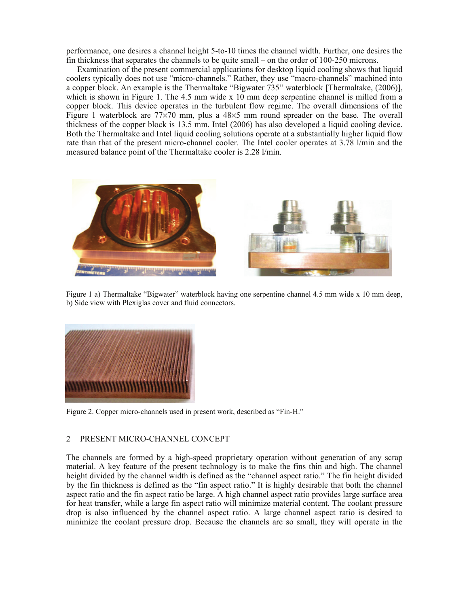performance, one desires a channel height 5-to-10 times the channel width. Further, one desires the fin thickness that separates the channels to be quite small – on the order of 100-250 microns.

Examination of the present commercial applications for desktop liquid cooling shows that liquid coolers typically does not use "micro-channels." Rather, they use "macro-channels" machined into a copper block. An example is the Thermaltake "Bigwater 735" waterblock [Thermaltake, (2006)], which is shown in Figure 1. The 4.5 mm wide x 10 mm deep serpentine channel is milled from a copper block. This device operates in the turbulent flow regime. The overall dimensions of the Figure 1 waterblock are  $77\times70$  mm, plus a  $48\times5$  mm round spreader on the base. The overall thickness of the copper block is 13.5 mm. Intel (2006) has also developed a liquid cooling device. Both the Thermaltake and Intel liquid cooling solutions operate at a substantially higher liquid flow rate than that of the present micro-channel cooler. The Intel cooler operates at 3.78 l/min and the measured balance point of the Thermaltake cooler is 2.28 l/min.



Figure 1 a) Thermaltake "Bigwater" waterblock having one serpentine channel 4.5 mm wide x 10 mm deep, b) Side view with Plexiglas cover and fluid connectors.



Figure 2. Copper micro-channels used in present work, described as "Fin-H."

## 2 PRESENT MICRO-CHANNEL CONCEPT

The channels are formed by a high-speed proprietary operation without generation of any scrap material. A key feature of the present technology is to make the fins thin and high. The channel height divided by the channel width is defined as the "channel aspect ratio." The fin height divided by the fin thickness is defined as the "fin aspect ratio." It is highly desirable that both the channel aspect ratio and the fin aspect ratio be large. A high channel aspect ratio provides large surface area for heat transfer, while a large fin aspect ratio will minimize material content. The coolant pressure drop is also influenced by the channel aspect ratio. A large channel aspect ratio is desired to minimize the coolant pressure drop. Because the channels are so small, they will operate in the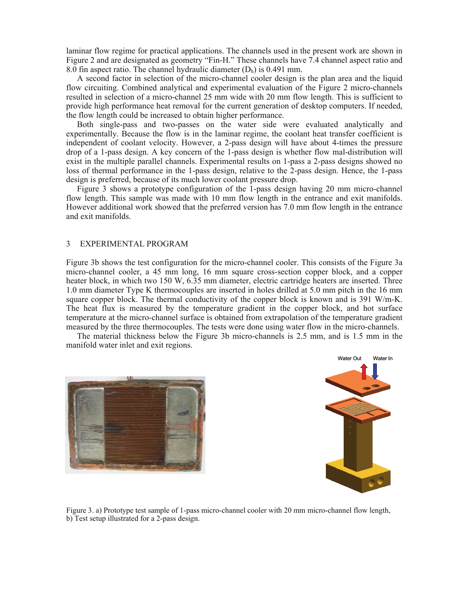laminar flow regime for practical applications. The channels used in the present work are shown in Figure 2 and are designated as geometry "Fin-H." These channels have 7.4 channel aspect ratio and 8.0 fin aspect ratio. The channel hydraulic diameter  $(D<sub>b</sub>)$  is 0.491 mm.

A second factor in selection of the micro-channel cooler design is the plan area and the liquid flow circuiting. Combined analytical and experimental evaluation of the Figure 2 micro-channels resulted in selection of a micro-channel 25 mm wide with 20 mm flow length. This is sufficient to provide high performance heat removal for the current generation of desktop computers. If needed, the flow length could be increased to obtain higher performance.

Both single-pass and two-passes on the water side were evaluated analytically and experimentally. Because the flow is in the laminar regime, the coolant heat transfer coefficient is independent of coolant velocity. However, a 2-pass design will have about 4-times the pressure drop of a 1-pass design. A key concern of the 1-pass design is whether flow mal-distribution will exist in the multiple parallel channels. Experimental results on 1-pass a 2-pass designs showed no loss of thermal performance in the 1-pass design, relative to the 2-pass design. Hence, the 1-pass design is preferred, because of its much lower coolant pressure drop.

Figure 3 shows a prototype configuration of the 1-pass design having 20 mm micro-channel flow length. This sample was made with 10 mm flow length in the entrance and exit manifolds. However additional work showed that the preferred version has 7.0 mm flow length in the entrance and exit manifolds.

### 3 EXPERIMENTAL PROGRAM

Figure 3b shows the test configuration for the micro-channel cooler. This consists of the Figure 3a micro-channel cooler, a 45 mm long, 16 mm square cross-section copper block, and a copper heater block, in which two 150 W, 6.35 mm diameter, electric cartridge heaters are inserted. Three 1.0 mm diameter Type K thermocouples are inserted in holes drilled at 5.0 mm pitch in the 16 mm square copper block. The thermal conductivity of the copper block is known and is 391 W/m-K. The heat flux is measured by the temperature gradient in the copper block, and hot surface temperature at the micro-channel surface is obtained from extrapolation of the temperature gradient measured by the three thermocouples. The tests were done using water flow in the micro-channels.

The material thickness below the Figure 3b micro-channels is 2.5 mm, and is 1.5 mm in the manifold water inlet and exit regions.





Figure 3. a) Prototype test sample of 1-pass micro-channel cooler with 20 mm micro-channel flow length, b) Test setup illustrated for a 2-pass design.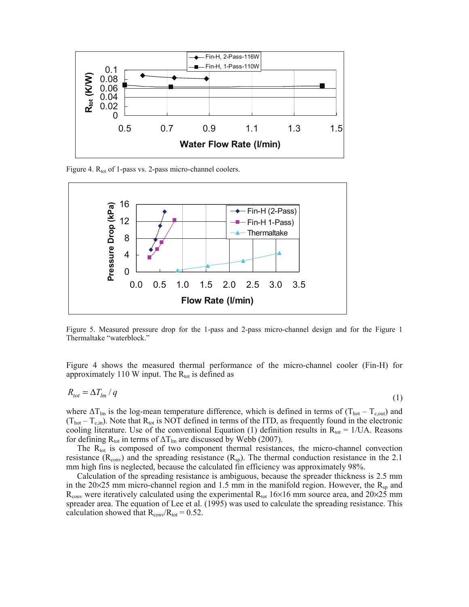

Figure 4. R<sub>tot</sub> of 1-pass vs. 2-pass micro-channel coolers.



Figure 5. Measured pressure drop for the 1-pass and 2-pass micro-channel design and for the Figure 1 Thermaltake "waterblock."

Figure 4 shows the measured thermal performance of the micro-channel cooler (Fin-H) for approximately 110 W input. The  $R_{\text{tot}}$  is defined as

$$
R_{tot} = \Delta T_{lm} / q \tag{1}
$$

where  $\Delta T_{lm}$  is the log-mean temperature difference, which is defined in terms of (T<sub>hot</sub> – T<sub>c,out</sub>) and  $(T_{hot} - T_{c,in})$ . Note that  $R_{tot}$  is NOT defined in terms of the ITD, as frequently found in the electronic cooling literature. Use of the conventional Equation (1) definition results in  $R_{tot} = 1/UA$ . Reasons for defining  $R_{\text{tot}}$  in terms of  $\Delta T_{\text{lm}}$  are discussed by Webb (2007).

The  $R_{\text{tot}}$  is composed of two component thermal resistances, the micro-channel convection resistance ( $R_{conv}$ ) and the spreading resistance ( $R_{sp}$ ). The thermal conduction resistance in the 2.1 mm high fins is neglected, because the calculated fin efficiency was approximately 98%.

Calculation of the spreading resistance is ambiguous, because the spreader thickness is 2.5 mm in the 20 $\times$ 25 mm micro-channel region and 1.5 mm in the manifold region. However, the R<sub>sp</sub> and  $R_{conv}$  were iteratively calculated using the experimental  $R_{tot}$  16×16 mm source area, and 20×25 mm spreader area. The equation of Lee et al. (1995) was used to calculate the spreading resistance. This calculation showed that  $R_{\text{conv}}/R_{\text{tot}} = 0.52$ .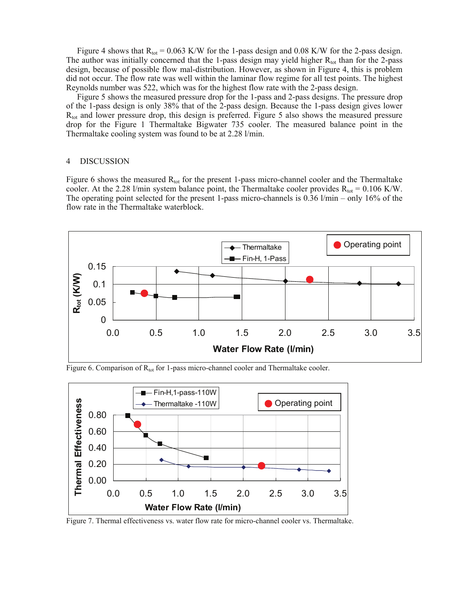Figure 4 shows that  $R_{tot} = 0.063$  K/W for the 1-pass design and 0.08 K/W for the 2-pass design. The author was initially concerned that the 1-pass design may yield higher  $R_{tot}$  than for the 2-pass design, because of possible flow mal-distribution. However, as shown in Figure 4, this is problem did not occur. The flow rate was well within the laminar flow regime for all test points. The highest Reynolds number was 522, which was for the highest flow rate with the 2-pass design.

Figure 5 shows the measured pressure drop for the 1-pass and 2-pass designs. The pressure drop of the 1-pass design is only 38% that of the 2-pass design. Because the 1-pass design gives lower  $R_{\text{tot}}$  and lower pressure drop, this design is preferred. Figure 5 also shows the measured pressure drop for the Figure 1 Thermaltake Bigwater 735 cooler. The measured balance point in the Thermaltake cooling system was found to be at 2.28 l/min.

#### 4 DISCUSSION

Figure 6 shows the measured  $R_{\text{tot}}$  for the present 1-pass micro-channel cooler and the Thermaltake cooler. At the 2.28 l/min system balance point, the Thermaltake cooler provides  $R_{tot} = 0.106$  K/W. The operating point selected for the present 1-pass micro-channels is 0.36 l/min – only 16% of the flow rate in the Thermaltake waterblock.



Figure 6. Comparison of  $R_{tot}$  for 1-pass micro-channel cooler and Thermaltake cooler.



Figure 7. Thermal effectiveness vs. water flow rate for micro-channel cooler vs. Thermaltake.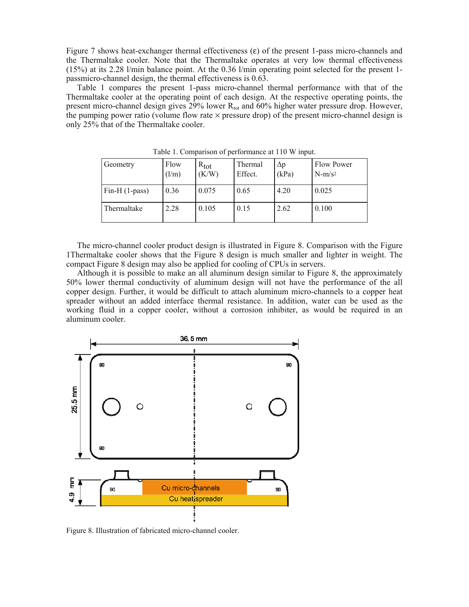Figure 7 shows heat-exchanger thermal effectiveness (ε) of the present 1-pass micro-channels and the Thermaltake cooler. Note that the Thermaltake operates at very low thermal effectiveness (15%) at its 2.28 l/min balance point. At the 0.36 l/min operating point selected for the present 1 passmicro-channel design, the thermal effectiveness is 0.63.

Table 1 compares the present 1-pass micro-channel thermal performance with that of the Thermaltake cooler at the operating point of each design. At the respective operating points, the present micro-channel design gives  $29\%$  lower R<sub>tot</sub> and  $60\%$  higher water pressure drop. However, the pumping power ratio (volume flow rate  $\times$  pressure drop) of the present micro-channel design is only 25% that of the Thermaltake cooler.

| Geometry        | Flow<br>(l/m) | $R_{\text{tot}}$<br>(K/W) | Thermal<br>Effect. | $\Delta p$<br>(kPa) | <b>Flow Power</b><br>$N-m/s^2$ |
|-----------------|---------------|---------------------------|--------------------|---------------------|--------------------------------|
| $Fin-H(1-pass)$ | 0.36          | 0.075                     | 0.65               | 4.20                | 0.025                          |
| Thermaltake     | 2.28          | 0.105                     | 0.15               | 2.62                | 0.100                          |

Table 1. Comparison of performance at 110 W input.

The micro-channel cooler product design is illustrated in Figure 8. Comparison with the Figure 1Thermaltake cooler shows that the Figure 8 design is much smaller and lighter in weight. The compact Figure 8 design may also be applied for cooling of CPUs in servers.

Although it is possible to make an all aluminum design similar to Figure 8, the approximately 50% lower thermal conductivity of aluminum design will not have the performance of the all copper design. Further, it would be difficult to attach aluminum micro-channels to a copper heat spreader without an added interface thermal resistance. In addition, water can be used as the working fluid in a copper cooler, without a corrosion inhibiter, as would be required in an aluminum cooler.



Figure 8. Illustration of fabricated micro-channel cooler.